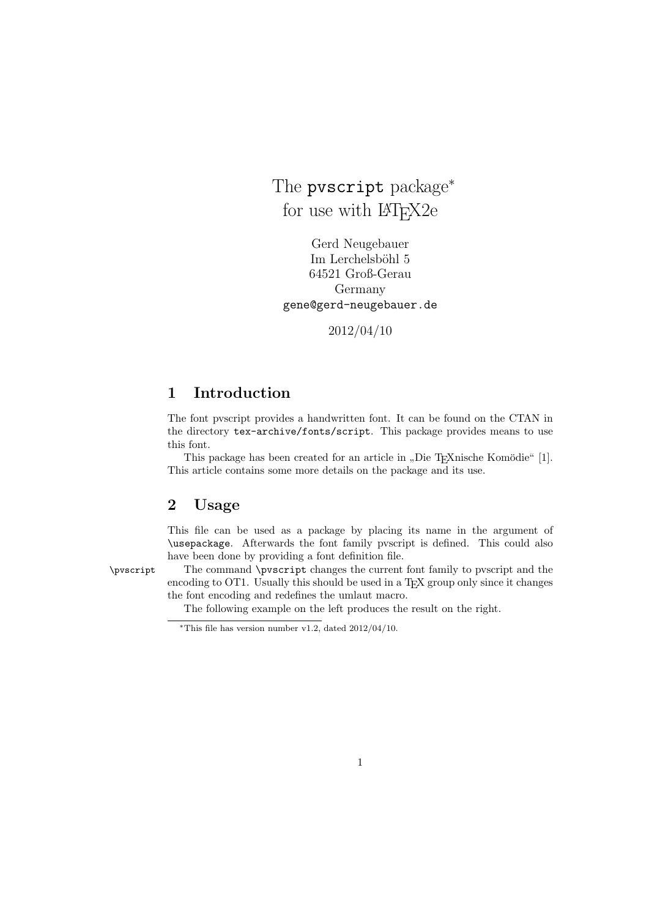The pvscript package<sup>\*</sup> for use with  $\mu$ <sub>F</sub>X<sub>2</sub>e

Gerd Neugebauer Im Lerchelsböhl 5 64521 Groß-Gerau Germany gene@gerd-neugebauer.de

2012/04/10

### 1 Introduction

The font pvscript provides a handwritten font. It can be found on the CTAN in the directory tex-archive/fonts/script. This package provides means to use this font.

This package has been created for an article in "Die T<sub>E</sub>Xnische Komödie" [1]. This article contains some more details on the package and its use.

#### 2 Usage

This file can be used as a package by placing its name in the argument of \usepackage. Afterwards the font family pvscript is defined. This could also have been done by providing a font definition file.

\pvscript The command \pvscript changes the current font family to pvscript and the encoding to OT1. Usually this should be used in a TEX group only since it changes the font encoding and redefines the umlaut macro.

The following example on the left produces the result on the right.

<sup>\*</sup>This file has version number v1.2, dated  $2012/04/10$ .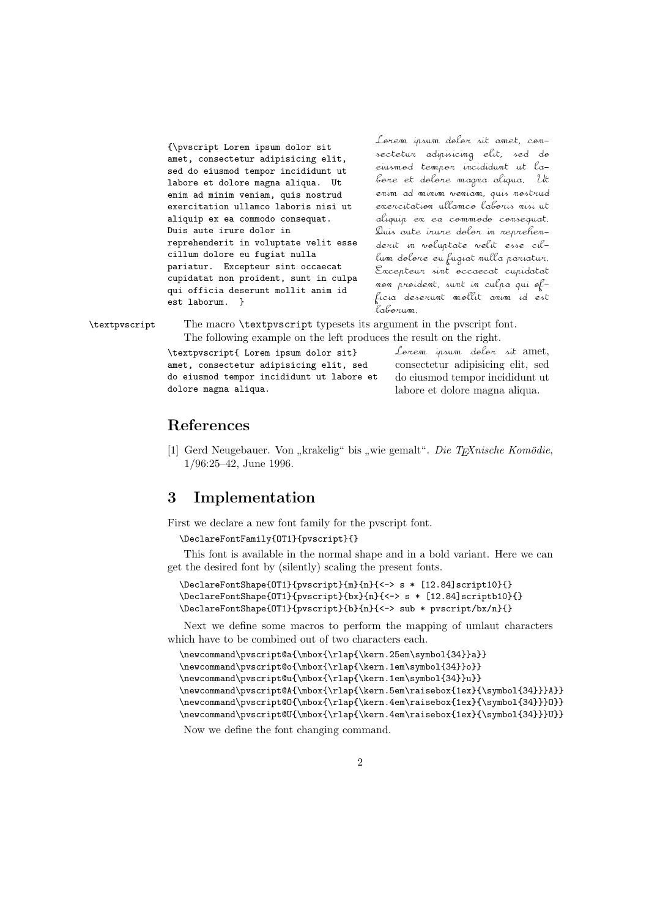{\pvscript Lorem ipsum dolor sit amet, consectetur adipisicing elit, sed do eiusmod tempor incididunt ut labore et dolore magna aliqua. Ut enim ad minim veniam, quis nostrud exercitation ullamco laboris nisi ut aliquip ex ea commodo consequat. Duis aute irure dolor in reprehenderit in voluptate velit esse cillum dolore eu fugiat nulla pariatur. Excepteur sint occaecat cupidatat non proident, sunt in culpa qui officia deserunt mollit anim id est laborum. }

Lorem ipsum dolor sit amet, con-<br>sectetur adipisicing elit, sed do<br>eiusmod tempor incididunt ut la-<br>bore et dolore magna aliqua. Ut<br>enim ad-minim speniam quis nostrud Lorem insum dolor sit amet, con-<br>sectetur adipisicing elit, sed do<br>eiusmod tempor incididunt ut la-<br>bore et dolore magna aliqua. Ut<br>enim ad minim veniam, quis nostrua<br>exercitation ullamco laboris nisi ut Lonem insum dolon sit amet, con-<br>sectetur adipisicing elit, sed do<br>eiusmod tempor incididunt ut la-<br>bore et dolore magna aliqua. Ut<br>enim ad minim veniam, quis nostrua<br>exercitation ullamco laboris nisi ut<br>aliquia ex ex comm Lonem ipsum dolon sit amet, com-<br>sectetur adipisicing elit, sed do<br>eiusmod tempon incididunt ut la-<br>bone et dolone magna aliqua. Ut<br>enim ad minim veniam, quis nostrua<br>exercitation ullamco labonis nisi ut<br>aliquip ex ea comm Lonem insum dolon sit amet, con-<br>sectetur adipisicing elit, sed do<br>eiusmod tempor incididunt ut la-<br>bone et dolone magna aliqua. Ut<br>enim ad minim veniam, quis nostrud<br>exercitation ullamco laboris nisi ut<br>aliquip ex ea comm Lorem insum dolor sit amet, con-<br>sectetur adipisicing elit, sed do<br>eiusmod tempor incididunt ut la-<br>bore et dolore magna aliqua. Ut<br>enim ad minim veniam, quis nostrua<br>exercitation ullamco laboris nisi ut<br>aliquip ex ea comm Lorem insum dolor sit amet, con-<br>sectetur adipisicing elit, sed do<br>eiusmod tempor incididunt ut la-<br>bore et dolore magna aliqua. Ut<br>enim ad minim veniam, quis nostrua<br>exercitation ullamco laboris nisi ut<br>aliquip ex ea comm sectetur adipisicing elit, sed de<br>eiusmod tempor incididunt ut la-<br>bore et dolore magna aliqua. Ut<br>enim ad minim veniam, quis nostrua<br>exercitation ullamco laboris nisi ut<br>aliquip ex ea commodo consequat.<br>Duis aute irure do eiusmod tempor incididunt ut la-<br>bore et dolore magna aliqua. Ut<br>enim ad minim veniam, quis nostrua<br>exercitation ullamco laboris nisi ut<br>aliquip ex ea commodo consequat.<br>Quis aute irure dolor in reprehen-<br>derit in voluptat bore et dolore magma aliqua. Ut<br>enim ad minim veniam, quis nostrus<br>exercitation ullamco laboris nisi ut<br>aliquip ex ea commodo consequat.<br>Duis aute irure dolor in reprehen-<br>derit in voluptate velit esse cil-<br>lum dolore eu f enim ad minim veniam, quis nostrua<br>exercitation ullamco laboris nisi ut<br>aliquip ex ea commodo consequat.<br>Quis aute irure dolor in reprehen-<br>derit in voluptate velit esse cil-<br>lum dolore eu fugiat nulla pariatur.<br>Excepteur exercitation ullamco laboris misi ut<br>aliquip ex ea commodo consequat.<br>Duis aute irure dolor in reprehen-<br>derit in woluptate welit esse cil-<br>lum dolore eu fugiat mulla pariatur.<br>Excepteur simt occaecat cupidatat<br>mon proiden aliquip ex ea commodo consequat.<br>Quis aute irure dolor in reprehen-<br>derit in voluptate velit esse cil-<br>lum dolore eu fugiat mulla pariatur.<br>Excepteur sint occaecat cupidatat<br>non proident, sunt in culpa qui of-<br>ficia deseru Duis aut<br>derit in<br>lum dele<br>Excepter<br>laborum.<br>laborum.<br>argument<br>ces the re epteur sint occaecat cupidatat<br>proident, sunt in culpa qui of-<br>deserunt mollit anim id est<br>rum.<br>ment in the pvscript font.<br>the result on the right.<br>Lorem ipsum delor sit amet,<br>consectetur adipisicing elit, sed<br>do eiusmod t

\textpvscript The macro \textpvscript typesets its argument in the pvscript font. The following example on the left produces the result on the right.

> \textpvscript{ Lorem ipsum dolor sit} amet, consectetur adipisicing elit, sed do eiusmod tempor incididunt ut labore et dolore magna aliqua.

consectetur adipisicing elit, sed do eiusmod tempor incididunt ut labore et dolore magna aliqua.

### References

[1] Gerd Neugebauer. Von "krakelig" bis "wie gemalt". *Die TEXnische Komödie*, 1/06.05.49. June 1996 1/96:25–42, June 1996.

### 3 Implementation

First we declare a new font family for the pvscript font.

```
\DeclareFontFamily{OT1}{pvscript}{}
```
This font is available in the normal shape and in a bold variant. Here we can get the desired font by (silently) scaling the present fonts.

```
\DeclareFontShape{OT1}{pvscript}{m}{n}{<-> s * [12.84]script10}{}
\DeclareFontShape{OT1}{pvscript}{bx}{n}{<-> s * [12.84]scriptb10}{}
\DeclareFontShape{OT1}{pvscript}{b}{n}{<-> sub * pvscript/bx/n}{}
```
Next we define some macros to perform the mapping of umlaut characters which have to be combined out of two characters each.

```
\newcommand\pvscript@a{\mbox{\rlap{\kern.25em\symbol{34}}a}}
\newcommand\pvscript@o{\mbox{\rlap{\kern.1em\symbol{34}}o}}
\newcommand\pvscript@u{\mbox{\rlap{\kern.1em\symbol{34}}u}}
\newcommand\pvscript@A{\mbox{\rlap{\kern.5em\raisebox{1ex}{\symbol{34}}}A}}
\newcommand\pvscript@O{\mbox{\rlap{\kern.4em\raisebox{1ex}{\symbol{34}}}O}}
\newcommand\pvscript@U{\mbox{\rlap{\kern.4em\raisebox{1ex}{\symbol{34}}}U}}
```
Now we define the font changing command.